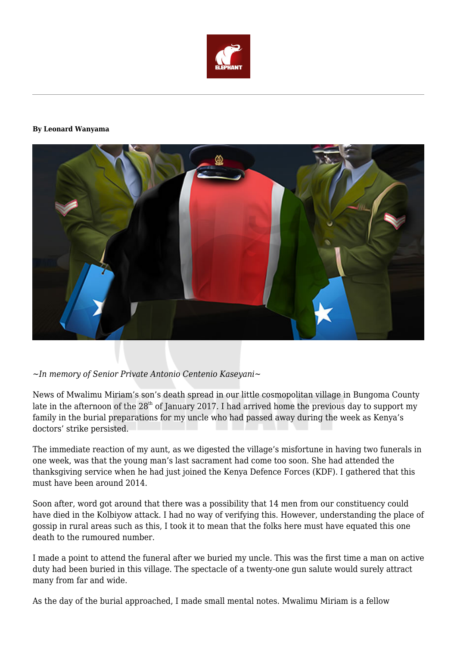

## **By Leonard Wanyama**



## *~In memory of Senior Private Antonio Centenio Kaseyani~*

News of Mwalimu Miriam's son's death spread in our little cosmopolitan village in Bungoma County late in the afternoon of the  $28<sup>th</sup>$  of January 2017. I had arrived home the previous day to support my family in the burial preparations for my uncle who had passed away during the week as Kenya's doctors' strike persisted.

The immediate reaction of my aunt, as we digested the village's misfortune in having two funerals in one week, was that the young man's last sacrament had come too soon. She had attended the thanksgiving service when he had just joined the Kenya Defence Forces (KDF). I gathered that this must have been around 2014.

Soon after, word got around that there was a possibility that 14 men from our constituency could have died in the Kolbiyow attack. I had no way of verifying this. However, understanding the place of gossip in rural areas such as this, I took it to mean that the folks here must have equated this one death to the rumoured number.

I made a point to attend the funeral after we buried my uncle. This was the first time a man on active duty had been buried in this village. The spectacle of a twenty-one gun salute would surely attract many from far and wide.

As the day of the burial approached, I made small mental notes. Mwalimu Miriam is a fellow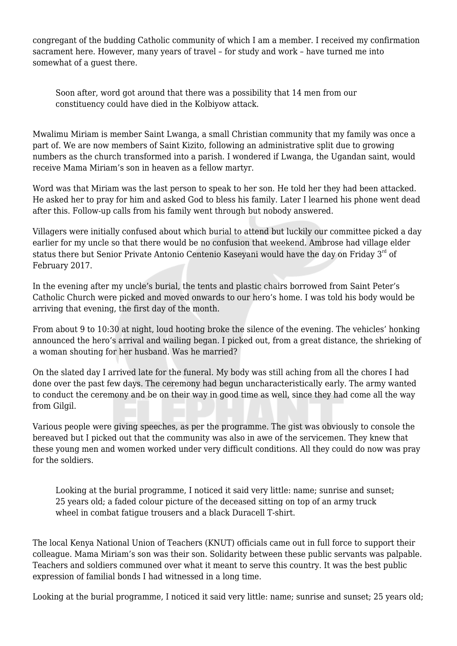congregant of the budding Catholic community of which I am a member. I received my confirmation sacrament here. However, many years of travel – for study and work – have turned me into somewhat of a guest there.

Soon after, word got around that there was a possibility that 14 men from our constituency could have died in the Kolbiyow attack.

Mwalimu Miriam is member Saint Lwanga, a small Christian community that my family was once a part of. We are now members of Saint Kizito, following an administrative split due to growing numbers as the church transformed into a parish. I wondered if Lwanga, the Ugandan saint, would receive Mama Miriam's son in heaven as a fellow martyr.

Word was that Miriam was the last person to speak to her son. He told her they had been attacked. He asked her to pray for him and asked God to bless his family. Later I learned his phone went dead after this. Follow-up calls from his family went through but nobody answered.

Villagers were initially confused about which burial to attend but luckily our committee picked a day earlier for my uncle so that there would be no confusion that weekend. Ambrose had village elder status there but Senior Private Antonio Centenio Kaseyani would have the day on Friday 3<sup>rd</sup> of February 2017.

In the evening after my uncle's burial, the tents and plastic chairs borrowed from Saint Peter's Catholic Church were picked and moved onwards to our hero's home. I was told his body would be arriving that evening, the first day of the month.

From about 9 to 10:30 at night, loud hooting broke the silence of the evening. The vehicles' honking announced the hero's arrival and wailing began. I picked out, from a great distance, the shrieking of a woman shouting for her husband. Was he married?

On the slated day I arrived late for the funeral. My body was still aching from all the chores I had done over the past few days. The ceremony had begun uncharacteristically early. The army wanted to conduct the ceremony and be on their way in good time as well, since they had come all the way from Gilgil.

Various people were giving speeches, as per the programme. The gist was obviously to console the bereaved but I picked out that the community was also in awe of the servicemen. They knew that these young men and women worked under very difficult conditions. All they could do now was pray for the soldiers.

Looking at the burial programme, I noticed it said very little: name; sunrise and sunset; 25 years old; a faded colour picture of the deceased sitting on top of an army truck wheel in combat fatigue trousers and a black Duracell T-shirt.

The local Kenya National Union of Teachers (KNUT) officials came out in full force to support their colleague. Mama Miriam's son was their son. Solidarity between these public servants was palpable. Teachers and soldiers communed over what it meant to serve this country. It was the best public expression of familial bonds I had witnessed in a long time.

Looking at the burial programme, I noticed it said very little: name; sunrise and sunset; 25 years old;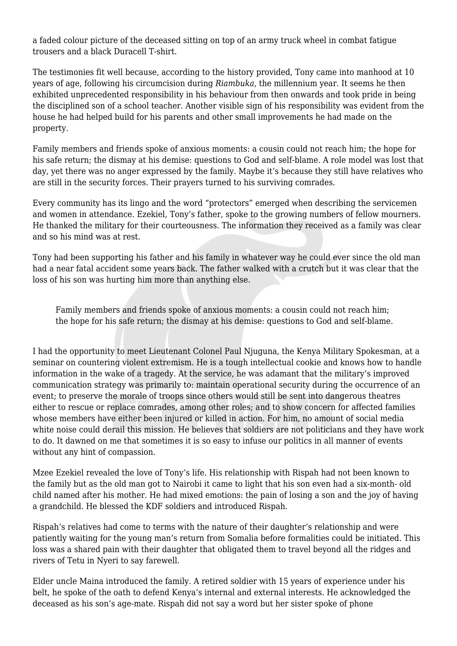a faded colour picture of the deceased sitting on top of an army truck wheel in combat fatigue trousers and a black Duracell T-shirt.

The testimonies fit well because, according to the history provided, Tony came into manhood at 10 years of age, following his circumcision during *Riambuka*, the millennium year. It seems he then exhibited unprecedented responsibility in his behaviour from then onwards and took pride in being the disciplined son of a school teacher. Another visible sign of his responsibility was evident from the house he had helped build for his parents and other small improvements he had made on the property.

Family members and friends spoke of anxious moments: a cousin could not reach him; the hope for his safe return; the dismay at his demise: questions to God and self-blame. A role model was lost that day, yet there was no anger expressed by the family. Maybe it's because they still have relatives who are still in the security forces. Their prayers turned to his surviving comrades.

Every community has its lingo and the word "protectors" emerged when describing the servicemen and women in attendance. Ezekiel, Tony's father, spoke to the growing numbers of fellow mourners. He thanked the military for their courteousness. The information they received as a family was clear and so his mind was at rest.

Tony had been supporting his father and his family in whatever way he could ever since the old man had a near fatal accident some years back. The father walked with a crutch but it was clear that the loss of his son was hurting him more than anything else.

Family members and friends spoke of anxious moments: a cousin could not reach him; the hope for his safe return; the dismay at his demise: questions to God and self-blame.

I had the opportunity to meet Lieutenant Colonel Paul Njuguna, the Kenya Military Spokesman, at a seminar on countering violent extremism. He is a tough intellectual cookie and knows how to handle information in the wake of a tragedy. At the service, he was adamant that the military's improved communication strategy was primarily to: maintain operational security during the occurrence of an event; to preserve the morale of troops since others would still be sent into dangerous theatres either to rescue or replace comrades, among other roles; and to show concern for affected families whose members have either been injured or killed in action. For him, no amount of social media white noise could derail this mission. He believes that soldiers are not politicians and they have work to do. It dawned on me that sometimes it is so easy to infuse our politics in all manner of events without any hint of compassion.

Mzee Ezekiel revealed the love of Tony's life. His relationship with Rispah had not been known to the family but as the old man got to Nairobi it came to light that his son even had a six-month- old child named after his mother. He had mixed emotions: the pain of losing a son and the joy of having a grandchild. He blessed the KDF soldiers and introduced Rispah.

Rispah's relatives had come to terms with the nature of their daughter's relationship and were patiently waiting for the young man's return from Somalia before formalities could be initiated. This loss was a shared pain with their daughter that obligated them to travel beyond all the ridges and rivers of Tetu in Nyeri to say farewell.

Elder uncle Maina introduced the family. A retired soldier with 15 years of experience under his belt, he spoke of the oath to defend Kenya's internal and external interests. He acknowledged the deceased as his son's age-mate. Rispah did not say a word but her sister spoke of phone